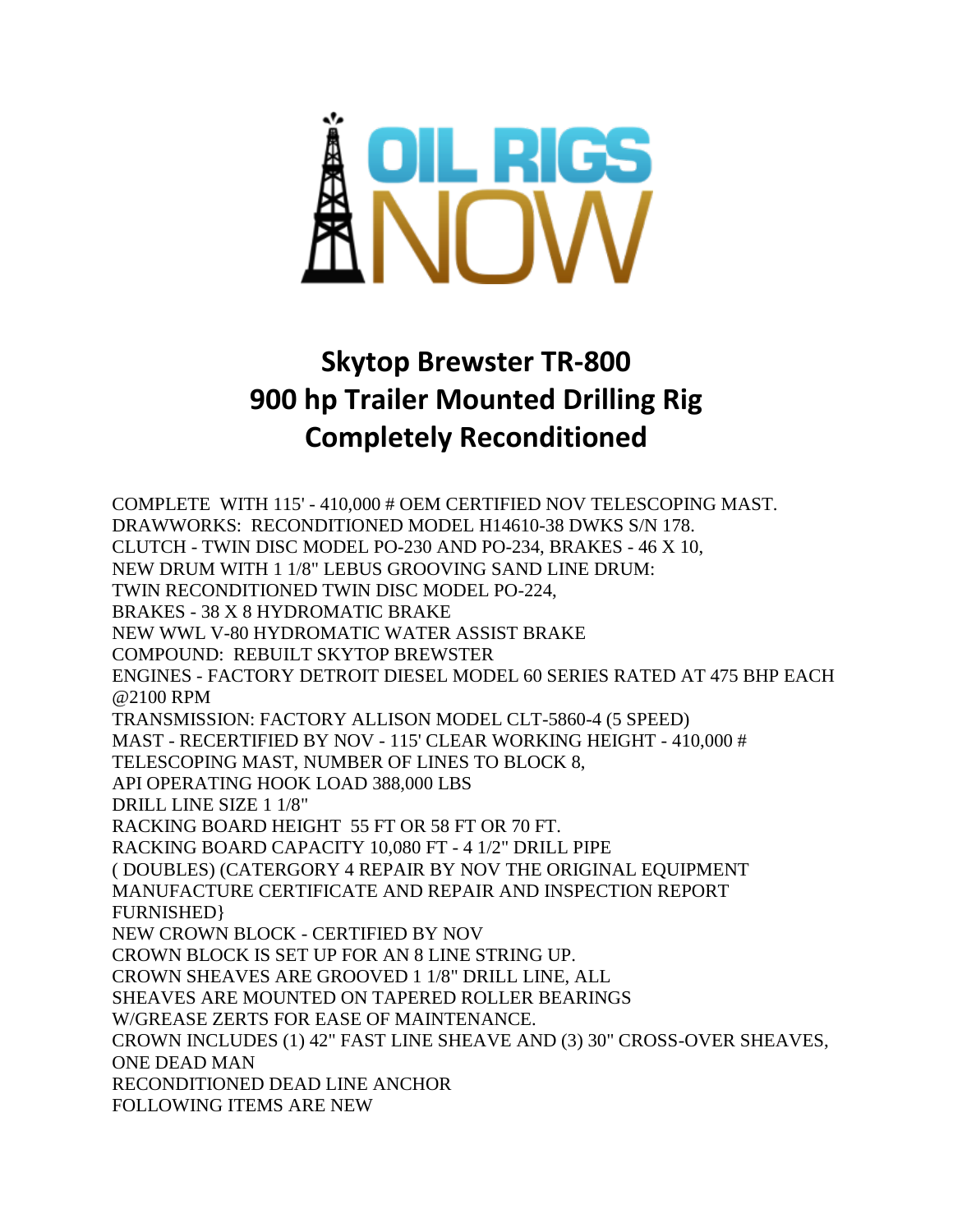

## **Skytop Brewster TR-800 900 hp Trailer Mounted Drilling Rig Completely Reconditioned**

COMPLETE WITH 115' - 410,000 # OEM CERTIFIED NOV TELESCOPING MAST. DRAWWORKS: RECONDITIONED MODEL H14610-38 DWKS S/N 178. CLUTCH - TWIN DISC MODEL PO-230 AND PO-234, BRAKES - 46 X 10, NEW DRUM WITH 1 1/8" LEBUS GROOVING SAND LINE DRUM: TWIN RECONDITIONED TWIN DISC MODEL PO-224, BRAKES - 38 X 8 HYDROMATIC BRAKE NEW WWL V-80 HYDROMATIC WATER ASSIST BRAKE COMPOUND: REBUILT SKYTOP BREWSTER ENGINES - FACTORY DETROIT DIESEL MODEL 60 SERIES RATED AT 475 BHP EACH @2100 RPM TRANSMISSION: FACTORY ALLISON MODEL CLT-5860-4 (5 SPEED) MAST - RECERTIFIED BY NOV - 115' CLEAR WORKING HEIGHT - 410,000 # TELESCOPING MAST, NUMBER OF LINES TO BLOCK 8, API OPERATING HOOK LOAD 388,000 LBS DRILL LINE SIZE 1 1/8" RACKING BOARD HEIGHT 55 FT OR 58 FT OR 70 FT. RACKING BOARD CAPACITY 10,080 FT - 4 1/2" DRILL PIPE ( DOUBLES) (CATERGORY 4 REPAIR BY NOV THE ORIGINAL EQUIPMENT MANUFACTURE CERTIFICATE AND REPAIR AND INSPECTION REPORT FURNISHED} NEW CROWN BLOCK - CERTIFIED BY NOV CROWN BLOCK IS SET UP FOR AN 8 LINE STRING UP. CROWN SHEAVES ARE GROOVED 1 1/8" DRILL LINE, ALL SHEAVES ARE MOUNTED ON TAPERED ROLLER BEARINGS W/GREASE ZERTS FOR EASE OF MAINTENANCE. CROWN INCLUDES (1) 42" FAST LINE SHEAVE AND (3) 30" CROSS-OVER SHEAVES, ONE DEAD MAN RECONDITIONED DEAD LINE ANCHOR FOLLOWING ITEMS ARE NEW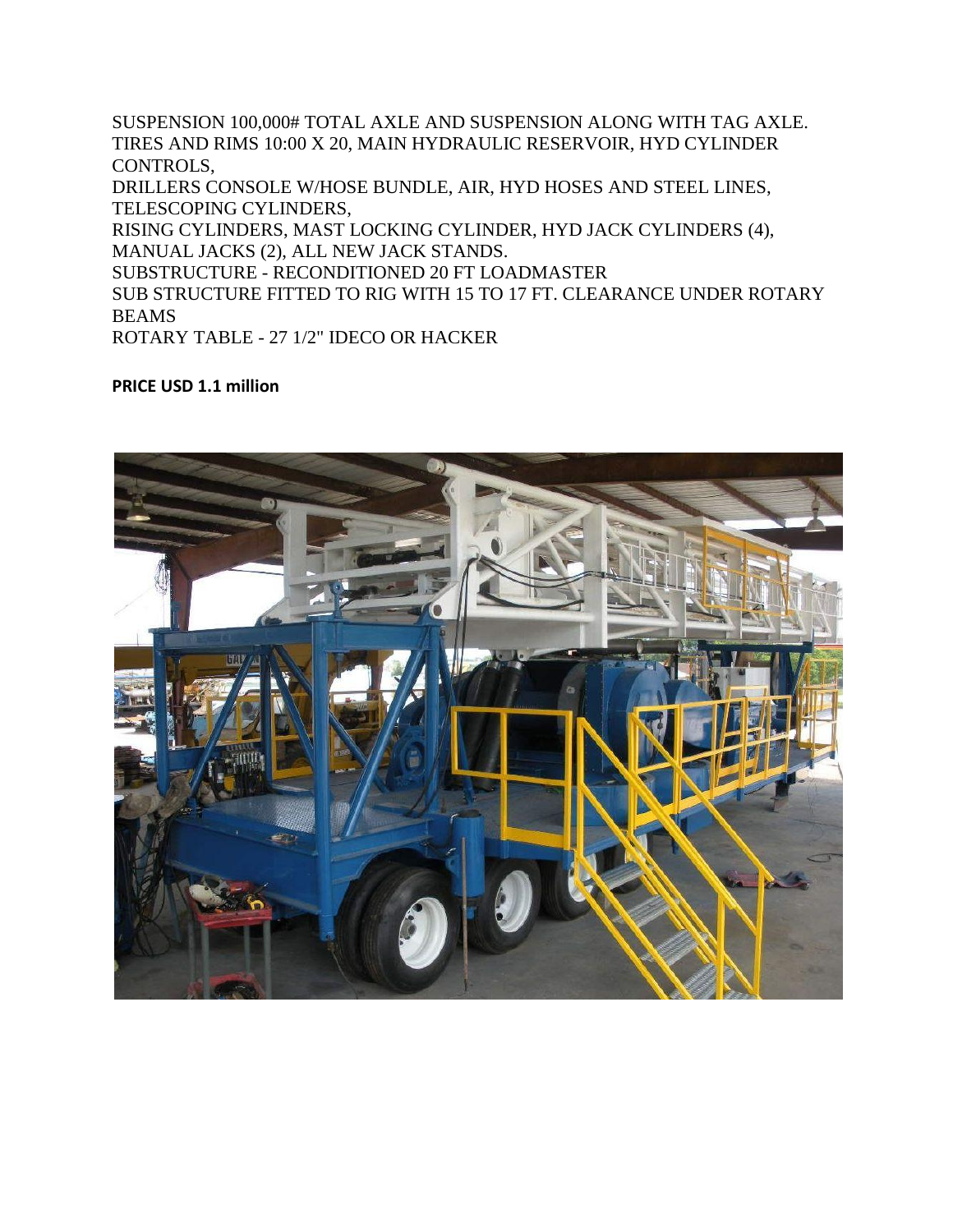SUSPENSION 100,000# TOTAL AXLE AND SUSPENSION ALONG WITH TAG AXLE. TIRES AND RIMS 10:00 X 20, MAIN HYDRAULIC RESERVOIR, HYD CYLINDER CONTROLS, DRILLERS CONSOLE W/HOSE BUNDLE, AIR, HYD HOSES AND STEEL LINES, TELESCOPING CYLINDERS, RISING CYLINDERS, MAST LOCKING CYLINDER, HYD JACK CYLINDERS (4), MANUAL JACKS (2), ALL NEW JACK STANDS. SUBSTRUCTURE - RECONDITIONED 20 FT LOADMASTER SUB STRUCTURE FITTED TO RIG WITH 15 TO 17 FT. CLEARANCE UNDER ROTARY BEAMS ROTARY TABLE - 27 1/2" IDECO OR HACKER

## **PRICE USD 1.1 million**

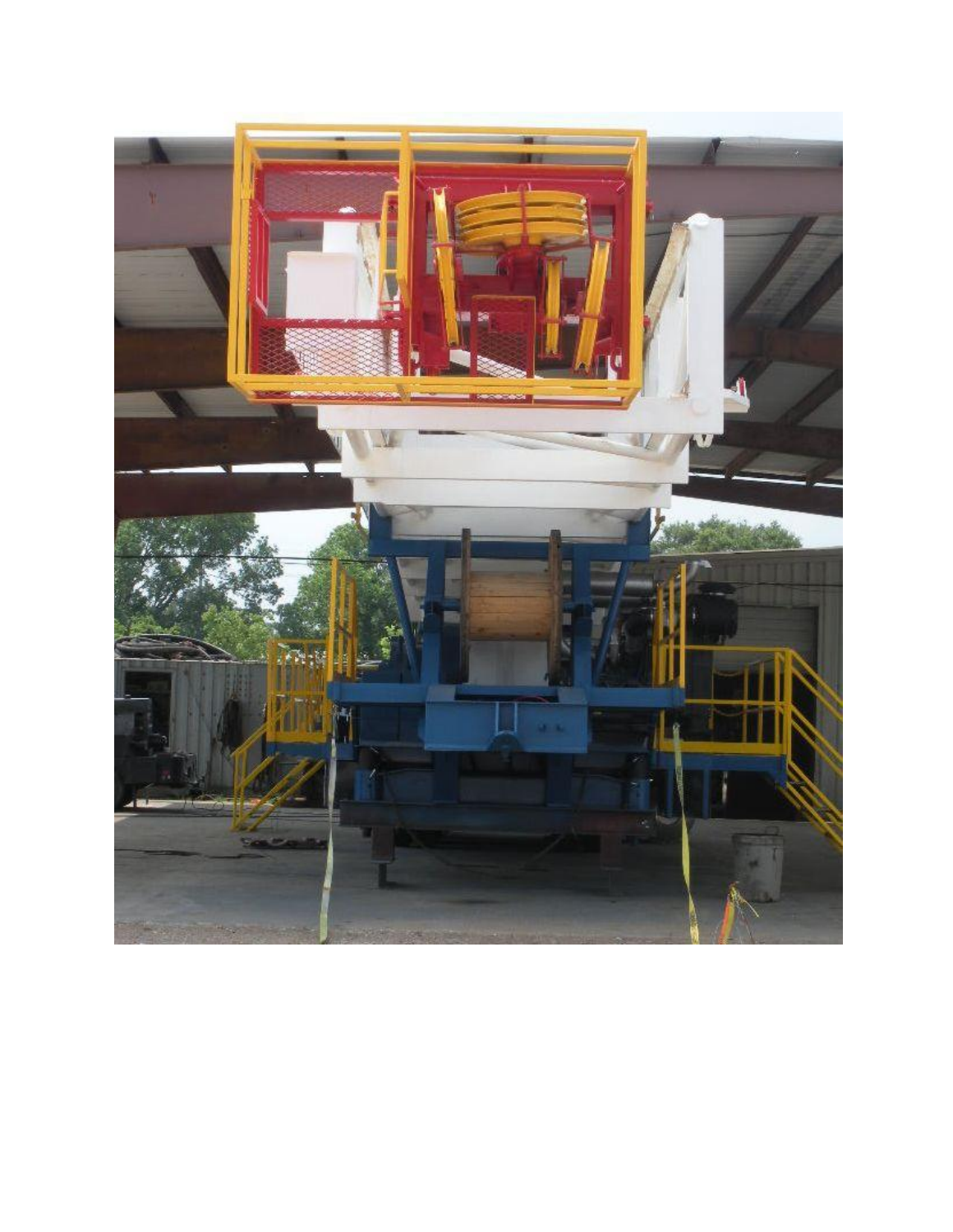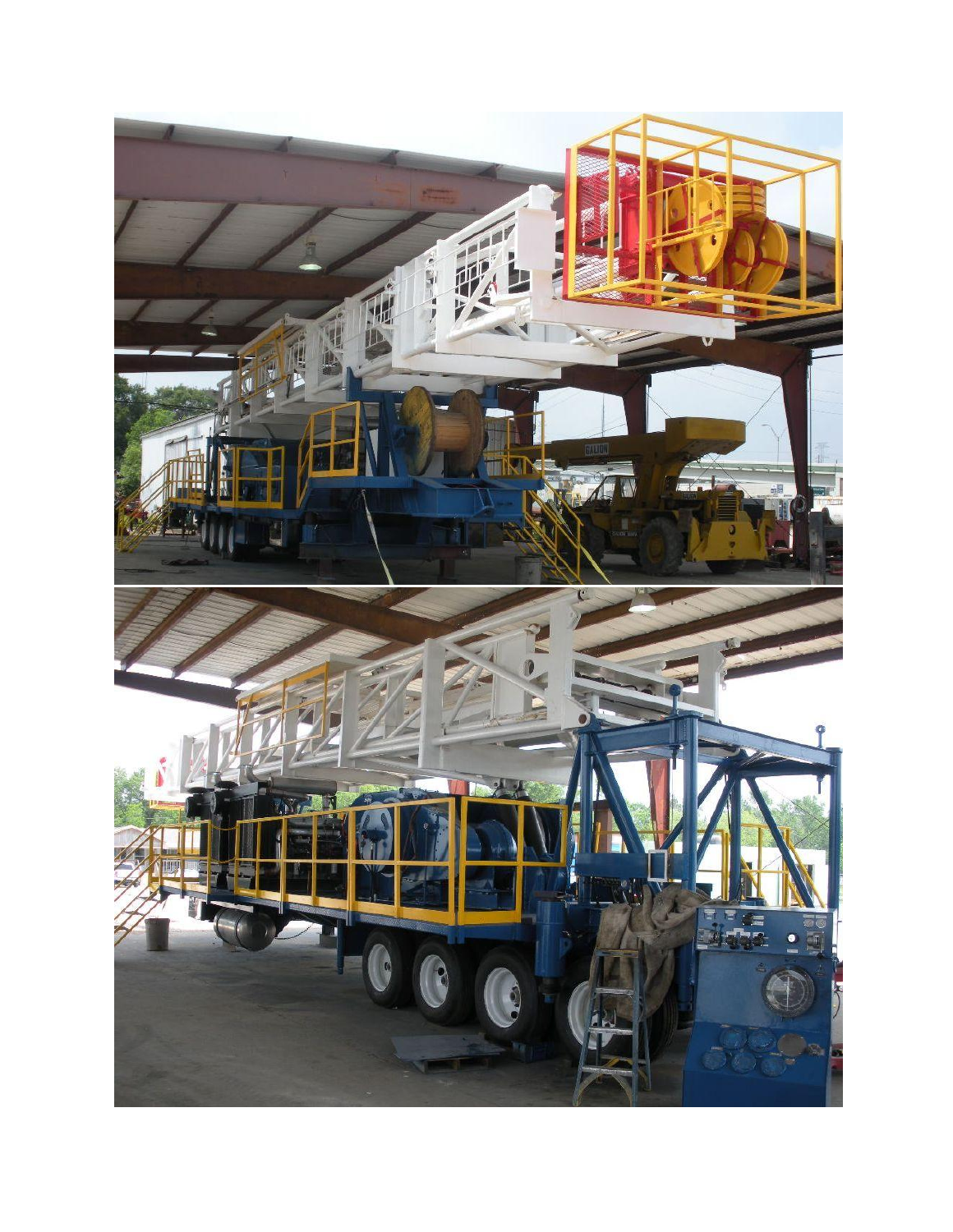![](_page_3_Picture_0.jpeg)